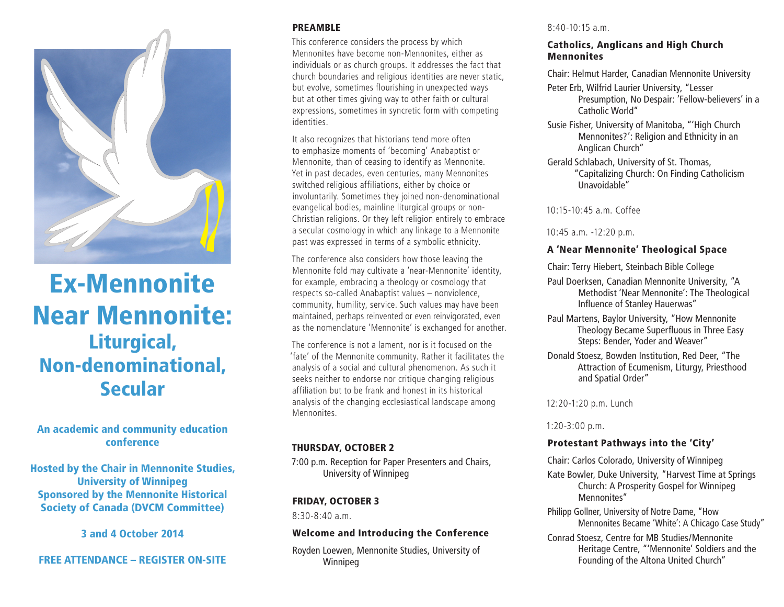

# Ex-Mennonite Near Mennonite: Liturgical, Non-denominational, Secular

### An academic and community education conference

Hosted by the Chair in Mennonite Studies, University of Winnipeg Sponsored by the Mennonite Historical Society of Canada (DVCM Committee)

3 and 4 October 2014

# FREE ATTENDANCE – REGISTER ON-SITE

#### PREAMBLE

This conference considers the process by which Mennonites have become non-Mennonites, either as individuals or as church groups. It addresses the fact that church boundaries and religious identities are never static, but evolve, sometimes flourishing in unexpected ways but at other times giving way to other faith or cultural expressions, sometimes in syncretic form with competing identities.

It also recognizes that historians tend more often to emphasize moments of 'becoming' Anabaptist or Mennonite, than of ceasing to identify as Mennonite. Yet in past decades, even centuries, many Mennonites switched religious affiliations, either by choice or involuntarily. Sometimes they joined non-denominational evangelical bodies, mainline liturgical groups or non-Christian religions. Or they left religion entirely to embrace a secular cosmology in which any linkage to a Mennonite past was expressed in terms of a symbolic ethnicity.

The conference also considers how those leaving the Mennonite fold may cultivate a 'near-Mennonite' identity, for example, embracing a theology or cosmology that respects so-called Anabaptist values – nonviolence, community, humility, service. Such values may have been maintained, perhaps reinvented or even reinvigorated, even as the nomenclature 'Mennonite' is exchanged for another.

The conference is not a lament, nor is it focused on the 'fate' of the Mennonite community. Rather it facilitates the analysis of a social and cultural phenomenon. As such it seeks neither to endorse nor critique changing religious affiliation but to be frank and honest in its historical analysis of the changing ecclesiastical landscape among Mennonites.

#### THURSDAY, OCTOBER 2

7:00 p.m. Reception for Paper Presenters and Chairs, University of Winnipeg

#### FRIDAY, OCTOBER 3

8:30-8:40 a.m.

#### Welcome and Introducing the Conference

Royden Loewen, Mennonite Studies, University of Winnipeg

#### 8:40-10:15 a.m.

#### Catholics, Anglicans and High Church Mennonites

Chair: Helmut Harder, Canadian Mennonite University

- Peter Erb, Wilfrid Laurier University, "Lesser Presumption, No Despair: 'Fellow-believers' in a Catholic World"
- Susie Fisher, University of Manitoba, "'High Church Mennonites?': Religion and Ethnicity in an Anglican Church"
- Gerald Schlabach, University of St. Thomas, "Capitalizing Church: On Finding Catholicism Unavoidable"

 $10.15 - 10.45$  a.m. Coffee

10:45 a.m. -12:20 p.m.

## A 'Near Mennonite' Theological Space

Chair: Terry Hiebert, Steinbach Bible College

- Paul Doerksen, Canadian Mennonite University, "A Methodist 'Near Mennonite': The Theological Influence of Stanley Hauerwas"
- Paul Martens, Baylor University, "How Mennonite Theology Became Superfluous in Three Easy Steps: Bender, Yoder and Weaver"
- Donald Stoesz, Bowden Institution, Red Deer, "The Attraction of Ecumenism, Liturgy, Priesthood and Spatial Order"

12:20-1:20 p.m. Lunch

1:20-3:00 p.m.

## Protestant Pathways into the 'City'

Chair: Carlos Colorado, University of Winnipeg

Kate Bowler, Duke University, "Harvest Time at Springs Church: A Prosperity Gospel for Winnipeg Mennonites"

Philipp Gollner, University of Notre Dame, "How Mennonites Became 'White': A Chicago Case Study"

Conrad Stoesz, Centre for MB Studies/Mennonite Heritage Centre, "'Mennonite' Soldiers and the Founding of the Altona United Church"